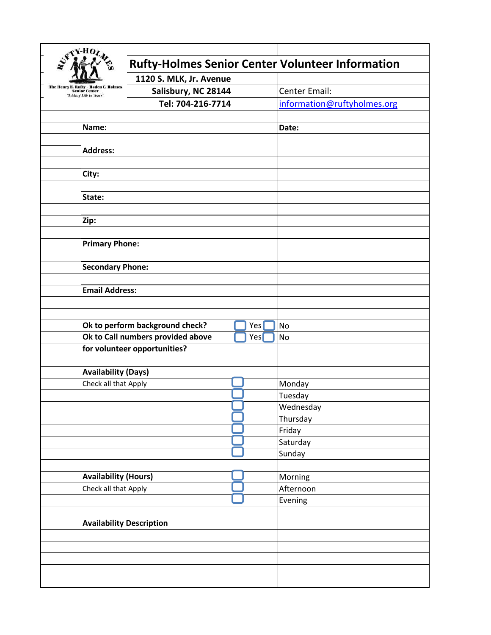| STY-HOL                                                      |                                                                                    |  |     |  |                             |  |  |
|--------------------------------------------------------------|------------------------------------------------------------------------------------|--|-----|--|-----------------------------|--|--|
|                                                              | <b>Rufty-Holmes Senior Center Volunteer Information</b><br>1120 S. MLK, Jr. Avenue |  |     |  |                             |  |  |
| The Henry E. Rufty - Haden C. Holmes<br><b>Senior Center</b> | Salisbury, NC 28144                                                                |  |     |  | <b>Center Email:</b>        |  |  |
| "Adding Life to Years"                                       | Tel: 704-216-7714                                                                  |  |     |  | information@ruftyholmes.org |  |  |
|                                                              |                                                                                    |  |     |  |                             |  |  |
| Name:                                                        |                                                                                    |  |     |  | Date:                       |  |  |
|                                                              |                                                                                    |  |     |  |                             |  |  |
| <b>Address:</b>                                              |                                                                                    |  |     |  |                             |  |  |
|                                                              |                                                                                    |  |     |  |                             |  |  |
| City:                                                        |                                                                                    |  |     |  |                             |  |  |
|                                                              |                                                                                    |  |     |  |                             |  |  |
| State:                                                       |                                                                                    |  |     |  |                             |  |  |
|                                                              |                                                                                    |  |     |  |                             |  |  |
| Zip:                                                         |                                                                                    |  |     |  |                             |  |  |
| <b>Primary Phone:</b>                                        |                                                                                    |  |     |  |                             |  |  |
|                                                              |                                                                                    |  |     |  |                             |  |  |
| <b>Secondary Phone:</b>                                      |                                                                                    |  |     |  |                             |  |  |
|                                                              |                                                                                    |  |     |  |                             |  |  |
| <b>Email Address:</b>                                        |                                                                                    |  |     |  |                             |  |  |
|                                                              |                                                                                    |  |     |  |                             |  |  |
|                                                              |                                                                                    |  |     |  |                             |  |  |
|                                                              | Ok to perform background check?                                                    |  | Yes |  | <b>No</b>                   |  |  |
|                                                              | Ok to Call numbers provided above                                                  |  | Yes |  | <b>No</b>                   |  |  |
|                                                              | for volunteer opportunities?                                                       |  |     |  |                             |  |  |
| <b>Availability (Days)</b>                                   |                                                                                    |  |     |  |                             |  |  |
| Check all that Apply                                         |                                                                                    |  |     |  | Monday                      |  |  |
|                                                              |                                                                                    |  |     |  | Tuesday                     |  |  |
|                                                              |                                                                                    |  |     |  | Wednesday                   |  |  |
|                                                              |                                                                                    |  |     |  | Thursday                    |  |  |
|                                                              |                                                                                    |  |     |  | Friday                      |  |  |
|                                                              |                                                                                    |  |     |  | Saturday                    |  |  |
|                                                              |                                                                                    |  |     |  | Sunday                      |  |  |
|                                                              |                                                                                    |  |     |  |                             |  |  |
| <b>Availability (Hours)</b>                                  |                                                                                    |  |     |  | Morning                     |  |  |
| Check all that Apply                                         |                                                                                    |  |     |  | Afternoon                   |  |  |
|                                                              |                                                                                    |  |     |  | Evening                     |  |  |
|                                                              | <b>Availability Description</b>                                                    |  |     |  |                             |  |  |
|                                                              |                                                                                    |  |     |  |                             |  |  |
|                                                              |                                                                                    |  |     |  |                             |  |  |
|                                                              |                                                                                    |  |     |  |                             |  |  |
|                                                              |                                                                                    |  |     |  |                             |  |  |
|                                                              |                                                                                    |  |     |  |                             |  |  |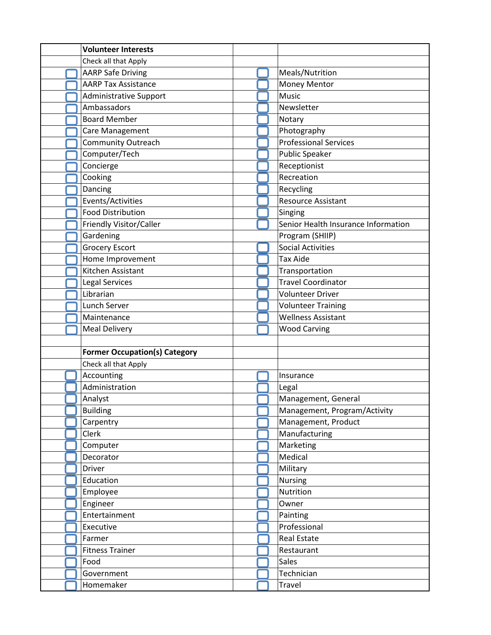| <b>Volunteer Interests</b> |                                      |  |                                     |
|----------------------------|--------------------------------------|--|-------------------------------------|
| Check all that Apply       |                                      |  |                                     |
|                            | <b>AARP Safe Driving</b>             |  | Meals/Nutrition                     |
|                            | <b>AARP Tax Assistance</b>           |  | <b>Money Mentor</b>                 |
|                            | <b>Administrative Support</b>        |  | Music                               |
|                            | Ambassadors                          |  | Newsletter                          |
|                            | <b>Board Member</b>                  |  | Notary                              |
|                            | Care Management                      |  | Photography                         |
|                            | <b>Community Outreach</b>            |  | <b>Professional Services</b>        |
|                            | Computer/Tech                        |  | <b>Public Speaker</b>               |
|                            | Concierge                            |  | Receptionist                        |
|                            | Cooking                              |  | Recreation                          |
|                            | Dancing                              |  | Recycling                           |
|                            | Events/Activities                    |  | <b>Resource Assistant</b>           |
|                            | <b>Food Distribution</b>             |  | Singing                             |
|                            | Friendly Visitor/Caller              |  | Senior Health Insurance Information |
|                            | Gardening                            |  | Program (SHIIP)                     |
|                            | <b>Grocery Escort</b>                |  | <b>Social Activities</b>            |
|                            | Home Improvement                     |  | <b>Tax Aide</b>                     |
|                            | Kitchen Assistant                    |  | Transportation                      |
|                            | <b>Legal Services</b>                |  | <b>Travel Coordinator</b>           |
|                            | Librarian                            |  | <b>Volunteer Driver</b>             |
|                            | Lunch Server                         |  | <b>Volunteer Training</b>           |
|                            | Maintenance                          |  | <b>Wellness Assistant</b>           |
|                            | <b>Meal Delivery</b>                 |  | <b>Wood Carving</b>                 |
|                            |                                      |  |                                     |
|                            | <b>Former Occupation(s) Category</b> |  |                                     |
| Check all that Apply       |                                      |  |                                     |
|                            | Accounting                           |  | Insurance                           |
|                            | Administration                       |  | Legal                               |
|                            | Analyst                              |  | Management, General                 |
|                            | <b>Building</b>                      |  | Management, Program/Activity        |
|                            | Carpentry                            |  | Management, Product                 |
|                            | Clerk                                |  | Manufacturing                       |
|                            | Computer                             |  | Marketing                           |
|                            | Decorator                            |  | Medical                             |
|                            | Driver                               |  | Military                            |
|                            | Education                            |  | <b>Nursing</b>                      |
|                            | Employee                             |  | Nutrition                           |
|                            | Engineer                             |  | Owner                               |
|                            | Entertainment                        |  | Painting                            |
|                            | Executive                            |  | Professional                        |
|                            | Farmer                               |  | Real Estate                         |
|                            | <b>Fitness Trainer</b>               |  | Restaurant                          |
|                            | Food                                 |  | <b>Sales</b>                        |
|                            | Government                           |  | Technician                          |
|                            | Homemaker                            |  | Travel                              |